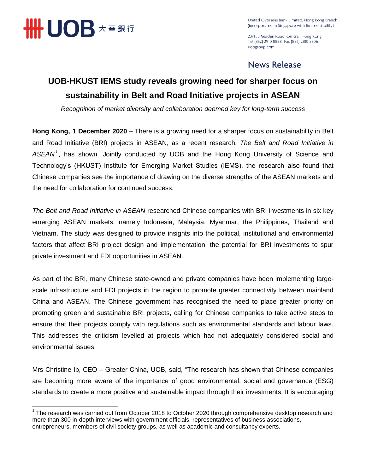

 $\overline{a}$ 

United Overseas Bank Limited, Hong Kong Branch (incorporated in Singapore with limited liability)

23/F, 3 Garden Road, Central, Hong Kong Tel (852) 2910 8888 Fax (852) 2810 5506 uobgroup.com

## News Release

# **UOB-HKUST IEMS study reveals growing need for sharper focus on sustainability in Belt and Road Initiative projects in ASEAN**

*Recognition of market diversity and collaboration deemed key for long-term success*

**Hong Kong, 1 December 2020** – There is a growing need for a sharper focus on sustainability in Belt and Road Initiative (BRI) projects in ASEAN, as a recent research, *The Belt and Road Initiative in ASEAN<sup>1</sup>* , has shown. Jointly conducted by UOB and the Hong Kong University of Science and Technology's (HKUST) Institute for Emerging Market Studies (IEMS), the research also found that Chinese companies see the importance of drawing on the diverse strengths of the ASEAN markets and the need for collaboration for continued success.

*The Belt and Road Initiative in ASEAN* researched Chinese companies with BRI investments in six key emerging ASEAN markets, namely Indonesia, Malaysia, Myanmar, the Philippines, Thailand and Vietnam. The study was designed to provide insights into the political, institutional and environmental factors that affect BRI project design and implementation, the potential for BRI investments to spur private investment and FDI opportunities in ASEAN.

As part of the BRI, many Chinese state-owned and private companies have been implementing largescale infrastructure and FDI projects in the region to promote greater connectivity between mainland China and ASEAN. The Chinese government has recognised the need to place greater priority on promoting green and sustainable BRI projects, calling for Chinese companies to take active steps to ensure that their projects comply with regulations such as environmental standards and labour laws. This addresses the criticism levelled at projects which had not adequately considered social and environmental issues.

Mrs Christine Ip, CEO – Greater China, UOB, said, "The research has shown that Chinese companies are becoming more aware of the importance of good environmental, social and governance (ESG) standards to create a more positive and sustainable impact through their investments. It is encouraging

 $1$  The research was carried out from October 2018 to October 2020 through comprehensive desktop research and more than 300 in-depth interviews with government officials, representatives of business associations, entrepreneurs, members of civil society groups, as well as academic and consultancy experts.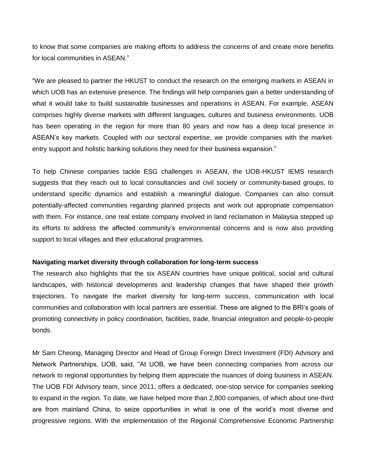to know that some companies are making efforts to address the concerns of and create more benefits for local communities in ASEAN."

"We are pleased to partner the HKUST to conduct the research on the emerging markets in ASEAN in which UOB has an extensive presence. The findings will help companies gain a better understanding of what it would take to build sustainable businesses and operations in ASEAN. For example, ASEAN comprises highly diverse markets with different languages, cultures and business environments. UOB has been operating in the region for more than 80 years and now has a deep local presence in ASEAN's key markets. Coupled with our sectoral expertise, we provide companies with the marketentry support and holistic banking solutions they need for their business expansion."

To help Chinese companies tackle ESG challenges in ASEAN, the UOB-HKUST IEMS research suggests that they reach out to local consultancies and civil society or community-based groups, to understand specific dynamics and establish a meaningful dialogue. Companies can also consult potentially-affected communities regarding planned projects and work out appropriate compensation with them. For instance, one real estate company involved in land reclamation in Malaysia stepped up its efforts to address the affected community's environmental concerns and is now also providing support to local villages and their educational programmes.

#### **Navigating market diversity through collaboration for long-term success**

The research also highlights that the six ASEAN countries have unique political, social and cultural landscapes, with historical developments and leadership changes that have shaped their growth trajectories. To navigate the market diversity for long-term success, communication with local communities and collaboration with local partners are essential. These are aligned to the BRI's goals of promoting connectivity in policy coordination, facilities, trade, financial integration and people-to-people bonds.

Mr Sam Cheong, Managing Director and Head of Group Foreign Direct Investment (FDI) Advisory and Network Partnerships, UOB, said, "At UOB, we have been connecting companies from across our network to regional opportunities by helping them appreciate the nuances of doing business in ASEAN. The UOB FDI Advisory team, since 2011, offers a dedicated, one-stop service for companies seeking to expand in the region. To date, we have helped more than 2,800 companies, of which about one-third are from mainland China, to seize opportunities in what is one of the world's most diverse and progressive regions. With the implementation of the Regional Comprehensive Economic Partnership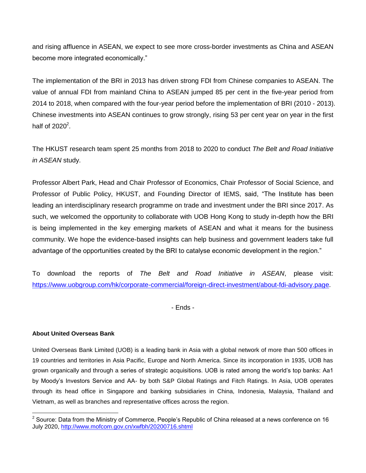and rising affluence in ASEAN, we expect to see more cross-border investments as China and ASEAN become more integrated economically."

The implementation of the BRI in 2013 has driven strong FDI from Chinese companies to ASEAN. The value of annual FDI from mainland China to ASEAN jumped 85 per cent in the five-year period from 2014 to 2018, when compared with the four-year period before the implementation of BRI (2010 - 2013). Chinese investments into ASEAN continues to grow strongly, rising 53 per cent year on year in the first half of  $2020^2$ .

The HKUST research team spent 25 months from 2018 to 2020 to conduct *The Belt and Road Initiative in ASEAN* study.

Professor Albert Park, Head and Chair Professor of Economics, Chair Professor of Social Science, and Professor of Public Policy, HKUST, and Founding Director of IEMS, said, "The Institute has been leading an interdisciplinary research programme on trade and investment under the BRI since 2017. As such, we welcomed the opportunity to collaborate with UOB Hong Kong to study in-depth how the BRI is being implemented in the key emerging markets of ASEAN and what it means for the business community. We hope the evidence-based insights can help business and government leaders take full advantage of the opportunities created by the BRI to catalyse economic development in the region."

To download the reports of *The Belt and Road Initiative in ASEAN*, please visit: [https://www.uobgroup.com/hk/corporate-commercial/foreign-direct-investment/about-fdi-advisory.page.](https://www.uobgroup.com/hk/corporate-commercial/foreign-direct-investment/about-fdi-advisory.page)

- Ends -

### **About United Overseas Bank**

United Overseas Bank Limited (UOB) is a leading bank in Asia with a global network of more than 500 offices in 19 countries and territories in Asia Pacific, Europe and North America. Since its incorporation in 1935, UOB has grown organically and through a series of strategic acquisitions. UOB is rated among the world's top banks: Aa1 by Moody's Investors Service and AA- by both S&P Global Ratings and Fitch Ratings. In Asia, UOB operates through its head office in Singapore and banking subsidiaries in China, Indonesia, Malaysia, Thailand and Vietnam, as well as branches and representative offices across the region.

 2 Source: Data from the Ministry of Commerce, People's Republic of China released at a news conference on 16 July 2020,<http://www.mofcom.gov.cn/xwfbh/20200716.shtml>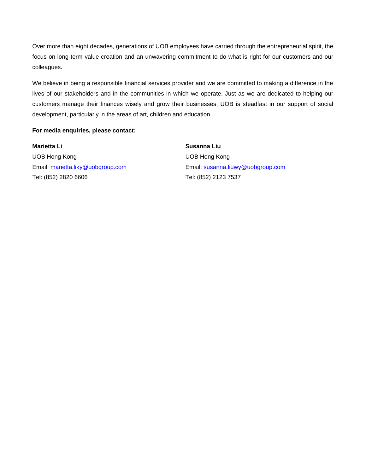Over more than eight decades, generations of UOB employees have carried through the entrepreneurial spirit, the focus on long-term value creation and an unwavering commitment to do what is right for our customers and our colleagues.

We believe in being a responsible financial services provider and we are committed to making a difference in the lives of our stakeholders and in the communities in which we operate. Just as we are dedicated to helping our customers manage their finances wisely and grow their businesses, UOB is steadfast in our support of social development, particularly in the areas of art, children and education.

#### **For media enquiries, please contact:**

**Marietta Li Susanna Liu** UOB Hong Kong UOB Hong Kong Tel: (852) 2820 6606

Email: [marietta.liky@uobgroup.com](mailto:marietta.liky@uobgroup.com) Email: [susanna.liuwy@uobgroup.com](mailto:susanna.liuwy@uobgroup.com) Tel: (852) 2123 7537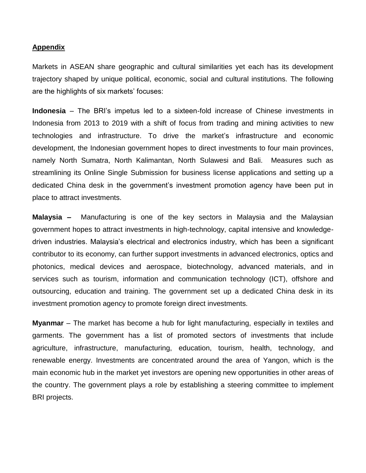### **Appendix**

Markets in ASEAN share geographic and cultural similarities yet each has its development trajectory shaped by unique political, economic, social and cultural institutions. The following are the highlights of six markets' focuses:

**Indonesia** – The BRI's impetus led to a sixteen-fold increase of Chinese investments in Indonesia from 2013 to 2019 with a shift of focus from trading and mining activities to new technologies and infrastructure. To drive the market's infrastructure and economic development, the Indonesian government hopes to direct investments to four main provinces, namely North Sumatra, North Kalimantan, North Sulawesi and Bali. Measures such as streamlining its Online Single Submission for business license applications and setting up a dedicated China desk in the government's investment promotion agency have been put in place to attract investments.

**Malaysia –** Manufacturing is one of the key sectors in Malaysia and the Malaysian government hopes to attract investments in high-technology, capital intensive and knowledgedriven industries. Malaysia's electrical and electronics industry, which has been a significant contributor to its economy, can further support investments in advanced electronics, optics and photonics, medical devices and aerospace, biotechnology, advanced materials, and in services such as tourism, information and communication technology (ICT), offshore and outsourcing, education and training. The government set up a dedicated China desk in its investment promotion agency to promote foreign direct investments.

**Myanmar** – The market has become a hub for light manufacturing, especially in textiles and garments. The government has a list of promoted sectors of investments that include agriculture, infrastructure, manufacturing, education, tourism, health, technology, and renewable energy. Investments are concentrated around the area of Yangon, which is the main economic hub in the market yet investors are opening new opportunities in other areas of the country. The government plays a role by establishing a steering committee to implement BRI projects.